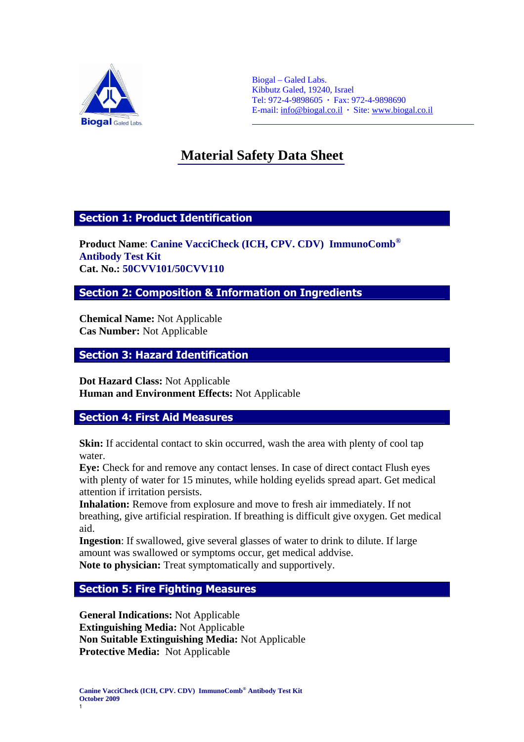

Biogal – Galed Labs. Kibbutz Galed, 19240, Israel Tel: 972-4-9898605 **·** Fax: 972-4-9898690 E-mail: info@biogal.co.il **·** Site: www.biogal.co.il

# **Material Safety Data Sheet** Ĩ

 $\overline{a}$ 

# Section 1: Product Identification

**Product Name**: **Canine VacciCheck (ICH, CPV. CDV) ImmunoComb® Antibody Test Kit Cat. No.: 50CVV101/50CVV110**

Section 2: Composition & Information on Ingredients

**Chemical Name:** Not Applicable **Cas Number:** Not Applicable

# Section 3: Hazard Identification

**Dot Hazard Class:** Not Applicable **Human and Environment Effects:** Not Applicable

# Section 4: First Aid Measures

**Skin:** If accidental contact to skin occurred, wash the area with plenty of cool tap water.

**Eye:** Check for and remove any contact lenses. In case of direct contact Flush eyes with plenty of water for 15 minutes, while holding eyelids spread apart. Get medical attention if irritation persists.

**Inhalation:** Remove from explosure and move to fresh air immediately. If not breathing, give artificial respiration. If breathing is difficult give oxygen. Get medical aid.

**Ingestion**: If swallowed, give several glasses of water to drink to dilute. If large amount was swallowed or symptoms occur, get medical addvise. **Note to physician:** Treat symptomatically and supportively.

# Section 5: Fire Fighting Measures

**General Indications:** Not Applicable **Extinguishing Media:** Not Applicable **Non Suitable Extinguishing Media:** Not Applicable **Protective Media:** Not Applicable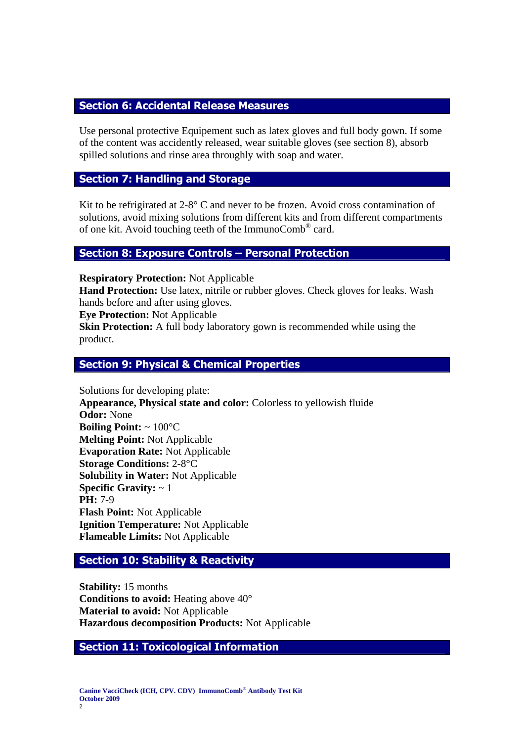# Section 6: Accidental Release Measures

Use personal protective Equipement such as latex gloves and full body gown. If some of the content was accidently released, wear suitable gloves (see section 8), absorb spilled solutions and rinse area throughly with soap and water.

# Section 7: Handling and Storage

Kit to be refrigirated at  $2-8^\circ$  C and never to be frozen. Avoid cross contamination of solutions, avoid mixing solutions from different kits and from different compartments of one kit. Avoid touching teeth of the ImmunoComb® card.

# Section 8: Exposure Controls – Personal Protection

**Respiratory Protection:** Not Applicable

**Hand Protection:** Use latex, nitrile or rubber gloves. Check gloves for leaks. Wash hands before and after using gloves.

**Eye Protection:** Not Applicable

**Skin Protection:** A full body laboratory gown is recommended while using the product.

#### Section 9: Physical & Chemical Properties

Solutions for developing plate: **Appearance, Physical state and color:** Colorless to yellowish fluide **Odor:** None **Boiling Point:** ~ 100°C **Melting Point:** Not Applicable **Evaporation Rate:** Not Applicable **Storage Conditions:** 2-8°C **Solubility in Water:** Not Applicable **Specific Gravity:** ~ 1 **PH:** 7-9 **Flash Point:** Not Applicable **Ignition Temperature:** Not Applicable **Flameable Limits:** Not Applicable

# Section 10: Stability & Reactivity

**Stability:** 15 months **Conditions to avoid:** Heating above 40° **Material to avoid:** Not Applicable **Hazardous decomposition Products:** Not Applicable

#### Section 11: Toxicological Information